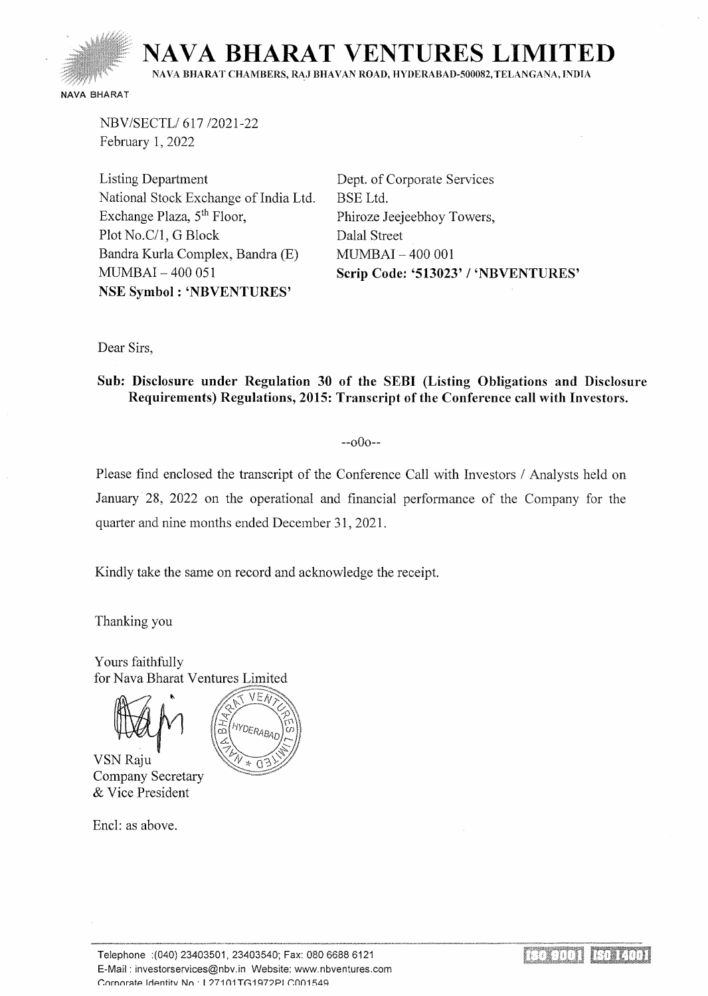

NBV/SECTL/ 617/2021-22 February 1, 2022

Listing Department National Stock Exchange of India Ltd. Exchange Plaza, 5<sup>th</sup> Floor, Plot No.C/1, G Block Bandra Kurla Complex, Bandra (E) MUMBAI- 400 051 NSE Symbol : 'NBVENTURES'

Dept. of Corporate Services BSE Ltd. Phiroze Jeejeebhoy Towers, Dalal Street MUMBAI - 400 001 Scrip Code: '513023' / 'NBVENTURES'

Dear Sirs,

Sub: Disclosure under Regulation 30 of the SEBI (Listing Obligations and Disclosure Requirements) Regulations, 2015: Transcript of the Conference call with Investors.

 $-000-$ 

Please find enclosed the transcript of the Conference Call with Investors / Analysts held on January 28, 2022 on the operational and financial performance of the Company for the quarter and nine months ended December 31, 2021.

Kindly take the same on record and acknowledge the receipt.

Thanking you

Yours faithfully for Nava Bharat Ventures Limited



VSN Raju **Company Secretary** & Vice President

Encl: as above.

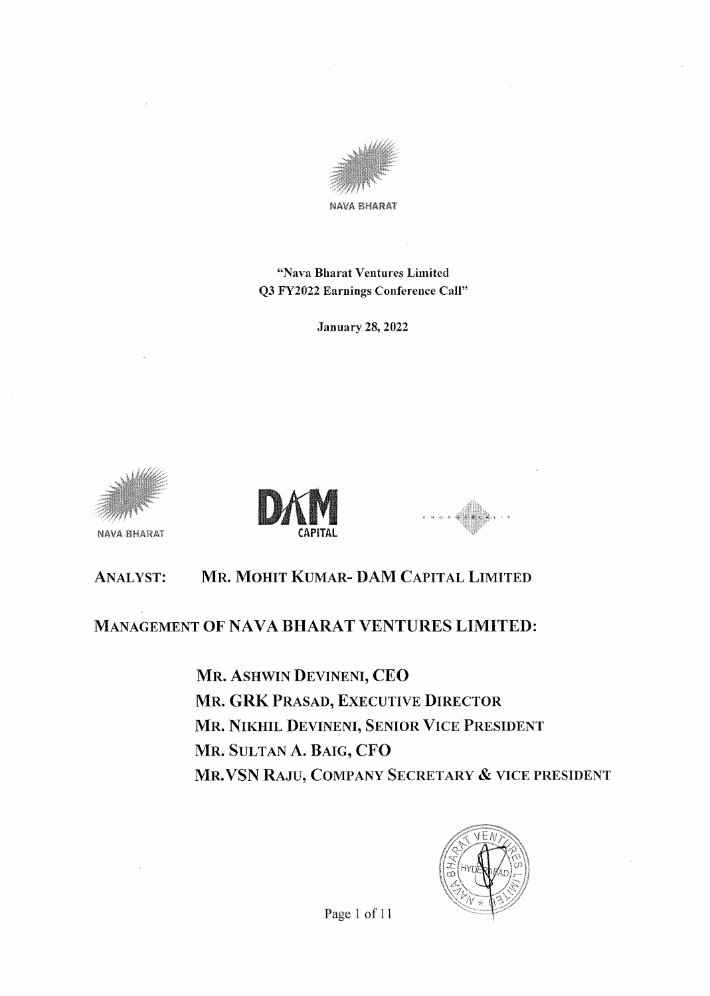

"Nava Bharat Ventures Limited Q3 FY2022 Earnings Conference Call"

January 28, 2022



NAVA BHARAT



# ANALYST: MR. MOHIT KUMAR- DAM CAPITAL LIMITED

# MANAGEMENT OF NAVA BHARAT VENTURES LIMITED:

MR. ASHWIN DEVINENI, CEO MR. GRK PRASAD, EXECUTIVE DIRECTOR MR. NIKHIL DEVINENI, SENIOR VICE PRESIDENT MR. SULTAN A. BAIG, CFO MR. VSN RAJU, COMPANY SECRETARY & VICE PRESIDENT

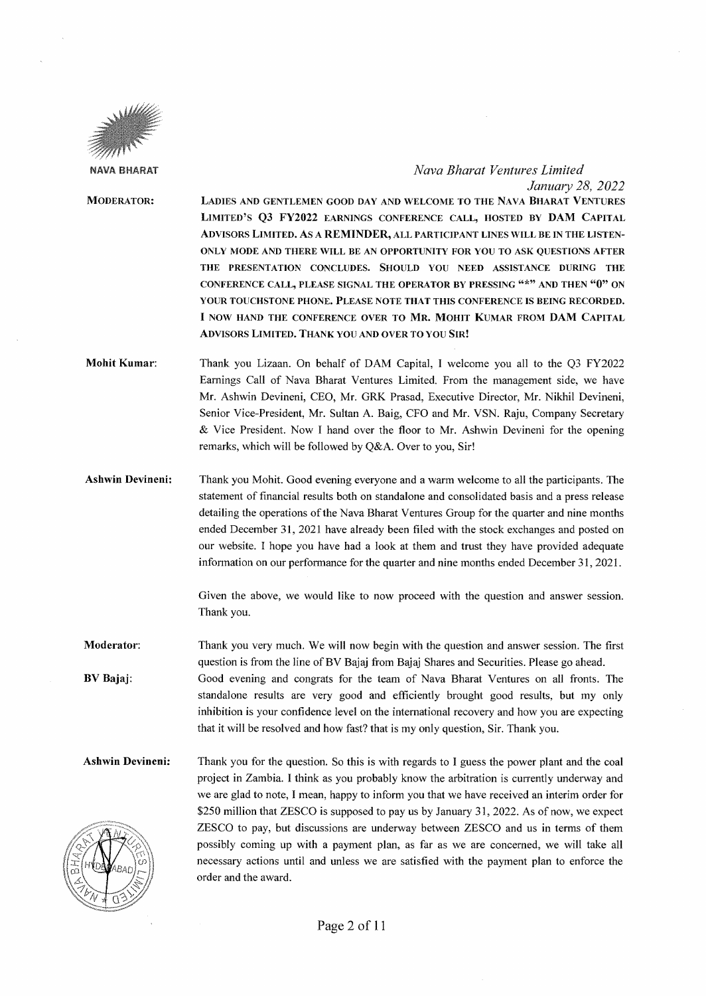

### *Nava Bharat Ventures Limited January 28, 2022*

- MODERATOR: LADIES AND GENTLEMEN GOOD DAY AND WELCOME TO THE NAVA BHARAT VENTURES LIMITED'S Q3 FY2022 EARNINGS CONFERENCE CALL, HOSTED BY DAM CAPITAL ADVISORS LIMITED. AS A REMINDER, ALL PARTICIPANT LINES WILL BE IN THE LISTEN-ONLY MODE AND THERE WILL BE AN OPPORTUNITY FOR YOU TO ASK QUESTIONS AFTER THE PRESENTATION CONCLUDES. SHOULD YOU NEED ASSISTANCE DURING THE CONFERENCE CALL, PLEASE SIGNAL THE OPERA TOR BY PRESSING "\*" AND THEN "0" ON YOUR TOUCHSTONE PHONE. PLEASE NOTE THAT THIS CONFERENCE IS BEING RECORDED. I NOW HAND THE CONFERENCE OVER TO MR. MOHIT KUMAR FROM DAM CAPITAL ADVISORS LIMITED. THANK YOU AND OVER TO YOU SIR!
- Mohit Kumar: Thank you Lizaan. On behalf of DAM Capital, I welcome you all to the Q3 FY2022 Earnings Call of Nava Bharat Ventures Limited. From the management side, we have Mr. Ashwin Devineni, CEO, Mr. GRK Prasad, Executive Director, Mr. Nikhil Devineni, Senior Vice-President, Mr. Sultan A. Baig, CFO and Mr. VSN. Raju, Company Secretary & Vice President. Now I hand over the floor to Mr. Ashwin Devineni for the opening remarks, which will be followed by Q&A. Over to you, Sir!
- Ashwin Devineni: Thank you Mohit. Good evening everyone and a warm welcome to all the participants. The statement of financial results both on standalone and consolidated basis and a press release detailing the operations of the Nava Bharat Ventures Group for the quarter and nine months ended December 31, 2021 have already been filed with the stock exchanges and posted on our website. I hope you have had a look at them and trust they have provided adequate information on our performance for the quarter and nine months ended December 31, 2021.

Given the above, we would like to now proceed with the question and answer session. Thank you.

Moderator: BV Bajaj: Thank you very much. We will now begin with the question and answer session. The first question is from the line of BV Bajaj from Bajaj Shares and Securities. Please go ahead. Good evening and congrats for the team of Nava Bharat Ventures on all fronts. The standalone results are very good and efficiently brought good results, but my only inhibition is your confidence level on the international recovery and how you are expecting that it will be resolved and how fast? that is my only question, Sir. Thank you.

Ashwin Devineni: Thank you for the question. So this is with regards to I guess the power plant and the coal project in Zambia. I think as you probably know the arbitration is currently underway and we are glad to note, I mean, happy to inform you that we have received an interim order for \$250 million that ZESCO is supposed to pay us by January 31, 2022. As of now, we expect ZESCO to pay, but discussions are undenvay between ZESCO and us in terms of them possibly coming up with a payment plan, as far as we are concerned, we will take all necessary actions until and unless we are satisfied with the payment plan to enforce the order and the award.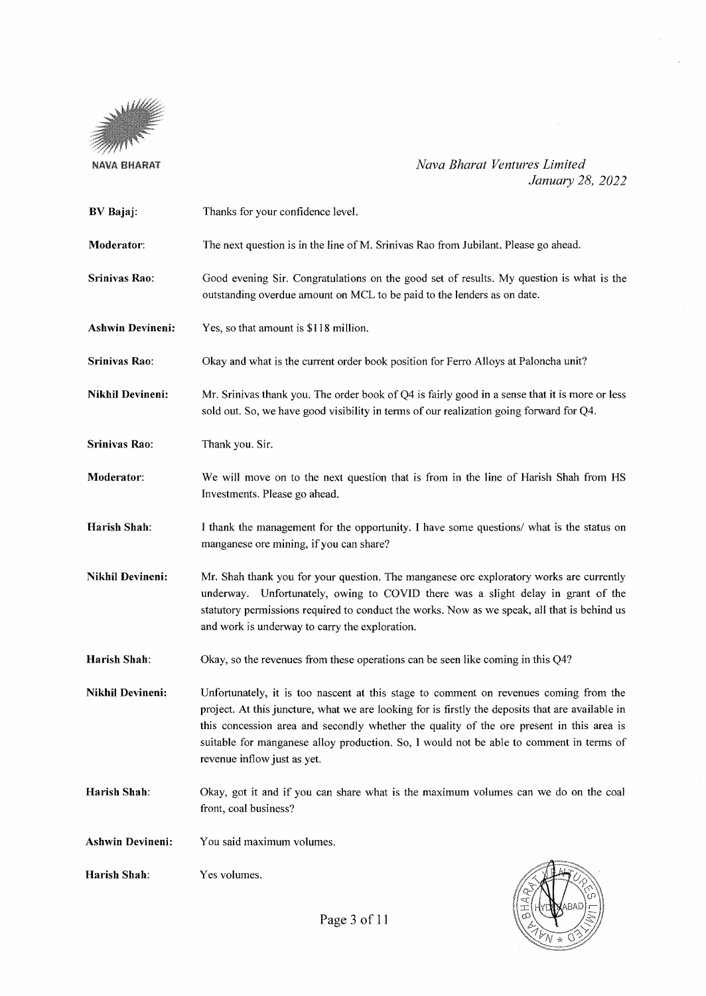

*Nava Bharat Ventures Limited January 28, 2022* 

| <b>BV</b> Bajaj:        | Thanks for your confidence level.                                                                                                                                                                                                                                                                                                                                                                               |
|-------------------------|-----------------------------------------------------------------------------------------------------------------------------------------------------------------------------------------------------------------------------------------------------------------------------------------------------------------------------------------------------------------------------------------------------------------|
| Moderator:              | The next question is in the line of M. Srinivas Rao from Jubilant. Please go ahead.                                                                                                                                                                                                                                                                                                                             |
| Srinivas Rao:           | Good evening Sir. Congratulations on the good set of results. My question is what is the<br>outstanding overdue amount on MCL to be paid to the lenders as on date.                                                                                                                                                                                                                                             |
| <b>Ashwin Devineni:</b> | Yes, so that amount is \$118 million.                                                                                                                                                                                                                                                                                                                                                                           |
| Srinivas Rao:           | Okay and what is the current order book position for Ferro Alloys at Paloncha unit?                                                                                                                                                                                                                                                                                                                             |
| <b>Nikhil Devineni:</b> | Mr. Srinivas thank you. The order book of Q4 is fairly good in a sense that it is more or less<br>sold out. So, we have good visibility in terms of our realization going forward for Q4.                                                                                                                                                                                                                       |
| Srinivas Rao:           | Thank you. Sir.                                                                                                                                                                                                                                                                                                                                                                                                 |
| Moderator:              | We will move on to the next question that is from in the line of Harish Shah from HS<br>Investments. Please go ahead.                                                                                                                                                                                                                                                                                           |
| Harish Shah:            | I thank the management for the opportunity. I have some questions/ what is the status on<br>manganese ore mining, if you can share?                                                                                                                                                                                                                                                                             |
| Nikhil Devineni:        | Mr. Shah thank you for your question. The manganese ore exploratory works are currently<br>underway. Unfortunately, owing to COVID there was a slight delay in grant of the<br>statutory permissions required to conduct the works. Now as we speak, all that is behind us<br>and work is underway to carry the exploration.                                                                                    |
| Harish Shah:            | Okay, so the revenues from these operations can be seen like coming in this Q4?                                                                                                                                                                                                                                                                                                                                 |
| <b>Nikhil Devineni:</b> | Unfortunately, it is too nascent at this stage to comment on revenues coming from the<br>project. At this juncture, what we are looking for is firstly the deposits that are available in<br>this concession area and secondly whether the quality of the ore present in this area is<br>suitable for manganese alloy production. So, I would not be able to comment in terms of<br>revenue inflow just as yet. |
| Harish Shah:            | Okay, got it and if you can share what is the maximum volumes can we do on the coal<br>front, coal business?                                                                                                                                                                                                                                                                                                    |
| <b>Ashwin Devineni:</b> | You said maximum volumes.                                                                                                                                                                                                                                                                                                                                                                                       |
| Harish Shah:            | Yes volumes.                                                                                                                                                                                                                                                                                                                                                                                                    |



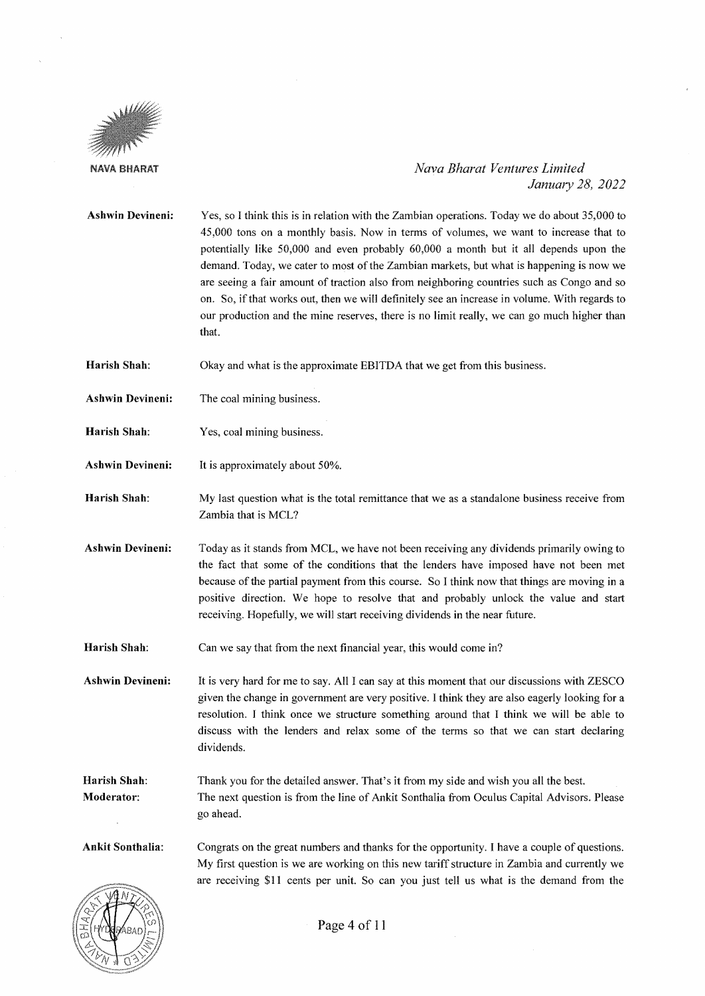

# *Nava Bharat Ventures Limited Janumy 28, 2022*

**Ashwin Devineni:**  Yes, so I think this is in relation with the Zambian operations. Today we do about 35,000 to 45,000 tons on a monthly basis. Now in terms of volumes, we want to increase that to potentially like 50,000 and even probably 60,000 a month but it all depends upon the demand. Today, we cater to most of the Zambian markets, but what is happening is now we are seeing a fair amount of traction also from neighboring countries such as Congo and so on. So, if that works out, then we will definitely see an increase in volume. \Vith regards to our production and the mine reserves, there is no limit really, we can go much higher than that.

**Harish Shah:**  Okay and what is the approximate EBITDA that we get from this business.

**Ashwin Devineni:**  The coal mining business.

**Harish Shah:**  Yes, coal mining business.

**Ashwin Devineni:**  It is approximately about 50%.

**Harish Shah:**  My last question what is the total remittance that we as a standalone business receive from Zambia that is MCL?

**Ashwin Devineni:**  Today as it stands from MCL, we have not been receiving any dividends primarily owing to the fact that some of the conditions that the lenders have imposed have not been met because of the partial payment from this course. So I think now that things are moving in a positive direction. We hope to resolve that and probably unlock the value and start receiving. Hopefully, we will start receiving dividends in the near future.

**Harish Shah:**  Can we say that from the next financial year, this would come in?

**Ashwin Devineni:**  It is very hard for me to say. All I can say at this moment that our discussions with ZESCO given the change in government are very positive. I think they are also eagerly looking for a resolution. I think once we structure something around that I think we will be able to discuss with the lenders and relax some of the terms so that we can start declaring dividends.

**Harish Shah: l\foderator:**  Thank you for the detailed answer. That's it from my side and wish you all the best. The next question is from the line of Ankit Sonthalia from Oculus Capital Advisors. Please go ahead.

**Ankit Sonthalia:**  Congrats on the great numbers and thanks for the opportunity. I have a couple of questions. My first question is we are working on this new tariff structure in Zambia and currently we are receiving \$11 cents per unit. So can you just tell us what is the demand from the

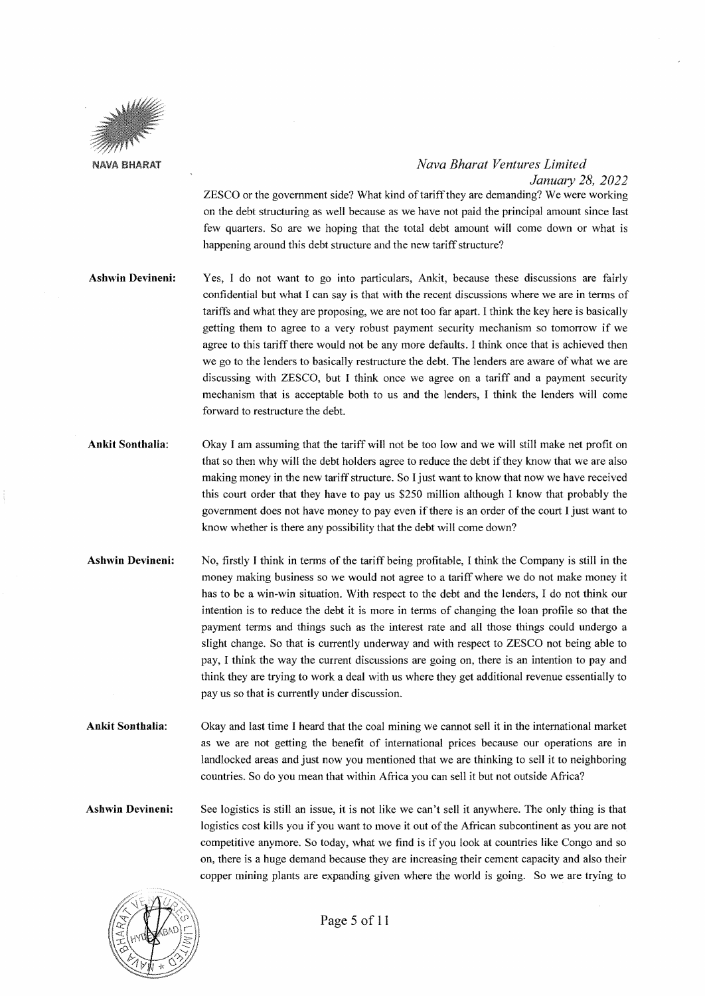

*Januwy 28, 2022* 

ZESCO or the government side? \Vhat kind of tariff they are demanding? We were working on the debt structuring as well because as we have not paid the principal amount since last few quarters. So are we hoping that the total debt amount will come down or what is happening around this debt structure and the new tariff structure?

- **Ashwin Devineni:**  Yes, I do not want to go into particulars, Ankit, because these discussions are fairly confidential but what I can say is that with the recent discussions where we are in terms of tariffs and what they are proposing, we are not too far apart. I think the key here is basically getting them to agree to a very robust payment security mechanism so tomorrow if we agree to this tariff there would not be any more defaults. I think once that is achieved then we go to the lenders to basically restructure the debt. The lenders are aware of what we are discussing with ZESCO, but I think once we agree on a tariff and a payment security mechanism that is acceptable both to us and the lenders, I think the lenders will come forward to restructure the debt.
- **Ankit Sonthalia:**  Okay I am assuming that the tariff will not be too low and we will still make net profit on that so then why will the debt holders agree to reduce the debt if they know that we are also making money in the new tariff structure. So I just want to know that now we have received this court order that they have to pay us \$250 million although I know that probably the government does not have money to pay even if there is an order of the court I just want to know whether is there any possibility that the debt will come down?
- **Ashwin Devineni:**  No, firstly I think in terms of the tariff being profitable, I think the Company is still in the money making business so we would not agree to a tariff where we do not make money it has to be a win-win situation. With respect to the debt and the lenders, I do not think our intention is to reduce the debt it is more in terms of changing the loan profile so that the payment terms and things such as the interest rate and all those things could undergo a slight change. So that is currently underway and with respect to ZESCO not being able to pay, I think the way the current discussions are going on, there is an intention to pay and think they are trying to work a deal with us where they get additional revenue essentially to pay us so that is currently under discussion.
- **Ankit Sonthalia:**  Okay and last time I heard that the coal mining we cannot sell it in the international market as we are not getting the benefit of international prices because our operations are in landlocked areas and just now you mentioned that we are thinking to sell it to neighboring countries. So do you mean that within Africa you can sell it but not outside Africa?
- **Ashwin Devineni:**  See logistics is still an issue, it is not like we can't sell it anywhere. The only thing is that logistics cost kills you if you want to move it out of the African subcontinent as you are not competitive anymore. So today, what we find is if you look at countries like Congo and so on, there is a huge demand because they are increasing their cement capacity and also their copper mining plants are expanding given where the world is going. So we are trying to

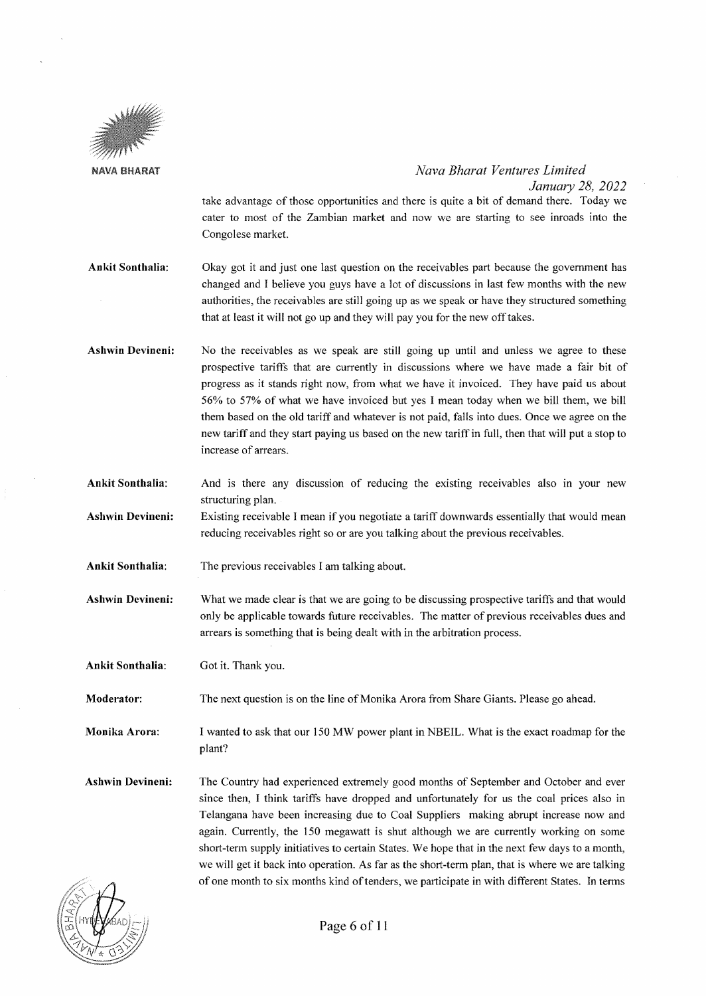

*Janumy 28, 2022*  take advantage of those opportunities and there is quite a bit of demand there. Today we cater to most of the Zambian market and now we are starting to see inroads into the Congolese market.

- Ankit Sonthalia: Okay got it and just one last question on the receivables part because the government has changed and I believe you guys have a lot of discussions in last few months with the new authorities, the receivables are still going up as we speak or have they structured something that at least it will not go up and they will pay you for the new off takes.
- Ashwin Devineni: No the receivables as we speak are still going up until and unless we agree to these prospective tariffs that are currently in discussions where we have made a fair bit of progress as it stands right now, from what we have it invoiced. They have paid us about 56% to 57% of what we have invoiced but yes I mean today when we bill them, we bill them based on the old tariff and whatever is not paid, falls into dues. Once we agree on the new tariff and they start paying us based on the new tariff in full, then that will put a stop to increase of arrears.
- Ankit Sonthalia: And is there any discussion of reducing the existing receivables also in your new structuring plan.
- Ashwin Devineni: Existing receivable I mean if you negotiate a tariff downwards essentially that would mean reducing receivables right so or are you talking about the previous receivables.
- Ankit Sonthalia: The previous receivables I am talking about.
- Ashwin Devineni: What we made clear is that we are going to be discussing prospective tariffs and that would only be applicable towards future receivables. The matter of previous receivables dues and arrears is something that is being dealt with in the arbitration process.

Ankit Sonthalia: Got it. Thank you.

Moderator: The next question is on the line of Monika Arora from Share Giants. Please go ahead.

Monika Arora: I wanted to ask that our 150 MW power plant in NBEIL. What is the exact roadmap for the plant?

Ashwin Devineni: The Country had experienced extremely good months of September and October and ever since then, I think tariffs have dropped and unfortunately for us the coal prices also in Telangana have been increasing due to Coal Suppliers making abrupt increase now and again. Currently, the 150 megawatt is shut although we are currently working on some short-term supply initiatives to certain States. We hope that in the next few days to a month, we will get it back into operation. As far as the short-term plan, that is where we are talking of one month to six months kind of tenders, we participate in with different States. In terms

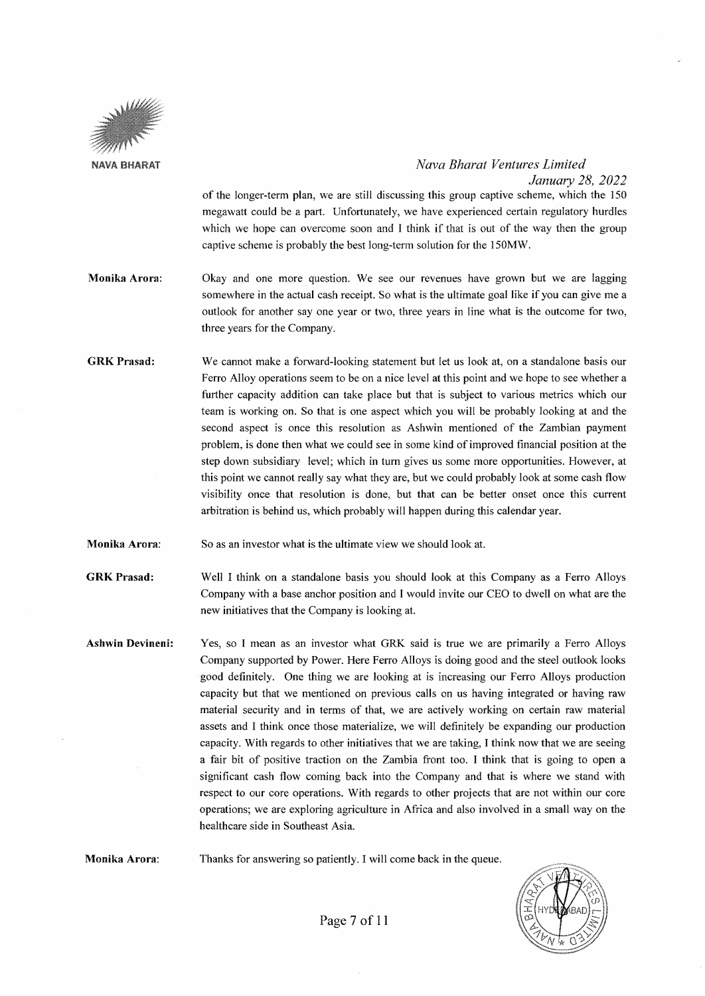

*January 28, 2022*  of the longer-term plan, we are still discussing this group captive scheme, which the 150 megawatt could be a part. Unfortunately, we have experienced certain regulatory hurdles which we hope can overcome soon and I think if that is out of the way then the group captive scheme is probably the best long-term solution for the 150M\V.

- **Monika Arora:**  Okay and one more question. We see our revenues have grown but we are lagging somewhere in the actual cash receipt. So what is the ultimate goal like if you can give me a outlook for another say one year or two, three years in line what is the outcome for two, three years for the Company.
- **GRKPrasad:**  We cannot make a forward-looking statement but let us look at, on a standalone basis our Ferro Alloy operations seem to be on a nice level at this point and we hope to see whether a further capacity addition can take place but that is subject to various metrics which our team is working on. So that is one aspect which you will be probably looking at and the second aspect is once this resolution as Ashwin mentioned of the Zambian payment problem, is done then what we could see in some kind of improved financial position at the step down subsidiary level; which in tum gives us some more opportunities. However, at this point we cannot really say what they are, but we could probably look at some cash flow visibility once that resolution is done, but that can be better onset once this current arbitration is behind us, which probably will happen during this calendar year.
- **Monika Arora:**  So as an investor what is the ultimate view we should look at

**GRKPrasad:**  Well I think on a standalone basis you should look at this Company as a Ferro Alloys Company with a base anchor position and I would invite our CEO to dwell on what are the new initiatives that the Company is looking at.

**Ashwin Devineni:**  Yes, so I mean as an investor what GRK said is true we are primarily a Ferro Alloys Company supported by Power. Here Ferro Alloys is doing good and the steel outlook looks good definitely. One thing we are looking at is increasing our Ferro Alloys production capacity but that we mentioned on previous calls on us having integrated or having raw material security and in terms of that, we are actively working on certain raw material assets and I think once those materialize, we will definitely be expanding our production capacity. With regards to other initiatives that we are taking, I think now that we are seeing a fair bit of positive traction on the Zambia front too. I think that is going to open a significant cash flow coming back into the Company and that is where we stand with respect to our core operations. With regards to other projects that are not within our core operations; we are exploring agriculture in Africa and also involved in a small way on the healthcare side in Southeast Asia.

**Monika Arora:**  Thanks for answering so patiently. I will come back in the queue.

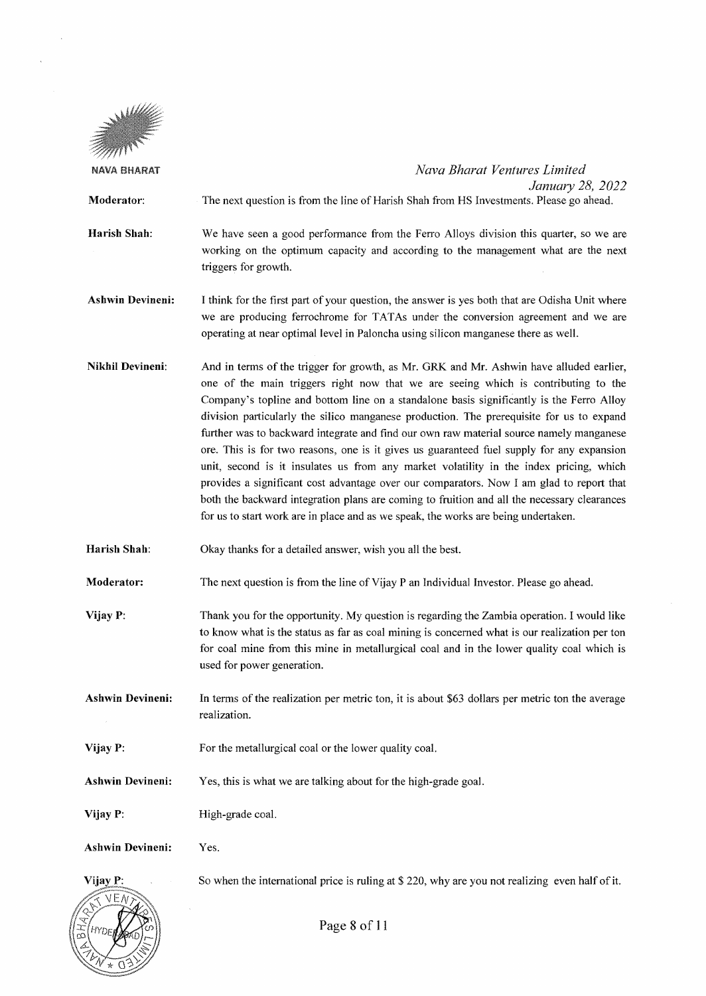

HYr

 $\ddot{\phantom{a}}$ 

| NAVA BHARAT             | Nava Bharat Ventures Limited<br>January 28, 2022                                                                                                                                                                                                                                                                                                                                                                                                                                                                                                                                                                                                                                                                                                                                                                                                                                                                                         |
|-------------------------|------------------------------------------------------------------------------------------------------------------------------------------------------------------------------------------------------------------------------------------------------------------------------------------------------------------------------------------------------------------------------------------------------------------------------------------------------------------------------------------------------------------------------------------------------------------------------------------------------------------------------------------------------------------------------------------------------------------------------------------------------------------------------------------------------------------------------------------------------------------------------------------------------------------------------------------|
| Moderator:              | The next question is from the line of Harish Shah from HS Investments. Please go ahead.                                                                                                                                                                                                                                                                                                                                                                                                                                                                                                                                                                                                                                                                                                                                                                                                                                                  |
| Harish Shah:            | We have seen a good performance from the Ferro Alloys division this quarter, so we are<br>working on the optimum capacity and according to the management what are the next<br>triggers for growth.                                                                                                                                                                                                                                                                                                                                                                                                                                                                                                                                                                                                                                                                                                                                      |
| <b>Ashwin Devineni:</b> | I think for the first part of your question, the answer is yes both that are Odisha Unit where<br>we are producing ferrochrome for TATAs under the conversion agreement and we are<br>operating at near optimal level in Paloncha using silicon manganese there as well.                                                                                                                                                                                                                                                                                                                                                                                                                                                                                                                                                                                                                                                                 |
| Nikhil Devineni:        | And in terms of the trigger for growth, as Mr. GRK and Mr. Ashwin have alluded earlier,<br>one of the main triggers right now that we are seeing which is contributing to the<br>Company's topline and bottom line on a standalone basis significantly is the Ferro Alloy<br>division particularly the silico manganese production. The prerequisite for us to expand<br>further was to backward integrate and find our own raw material source namely manganese<br>ore. This is for two reasons, one is it gives us guaranteed fuel supply for any expansion<br>unit, second is it insulates us from any market volatility in the index pricing, which<br>provides a significant cost advantage over our comparators. Now I am glad to report that<br>both the backward integration plans are coming to fruition and all the necessary clearances<br>for us to start work are in place and as we speak, the works are being undertaken. |
| Harish Shah:            | Okay thanks for a detailed answer, wish you all the best.                                                                                                                                                                                                                                                                                                                                                                                                                                                                                                                                                                                                                                                                                                                                                                                                                                                                                |
| Moderator:              | The next question is from the line of Vijay P an Individual Investor. Please go ahead.                                                                                                                                                                                                                                                                                                                                                                                                                                                                                                                                                                                                                                                                                                                                                                                                                                                   |
| Vijay P:                | Thank you for the opportunity. My question is regarding the Zambia operation. I would like<br>to know what is the status as far as coal mining is concerned what is our realization per ton<br>for coal mine from this mine in metallurgical coal and in the lower quality coal which is<br>used for power generation.                                                                                                                                                                                                                                                                                                                                                                                                                                                                                                                                                                                                                   |
| <b>Ashwin Devineni:</b> | In terms of the realization per metric ton, it is about \$63 dollars per metric ton the average<br>realization.                                                                                                                                                                                                                                                                                                                                                                                                                                                                                                                                                                                                                                                                                                                                                                                                                          |
| Vijay P:                | For the metallurgical coal or the lower quality coal.                                                                                                                                                                                                                                                                                                                                                                                                                                                                                                                                                                                                                                                                                                                                                                                                                                                                                    |
| <b>Ashwin Devineni:</b> | Yes, this is what we are talking about for the high-grade goal.                                                                                                                                                                                                                                                                                                                                                                                                                                                                                                                                                                                                                                                                                                                                                                                                                                                                          |
| Vijay P:                | High-grade coal.                                                                                                                                                                                                                                                                                                                                                                                                                                                                                                                                                                                                                                                                                                                                                                                                                                                                                                                         |
| <b>Ashwin Devineni:</b> | Yes.                                                                                                                                                                                                                                                                                                                                                                                                                                                                                                                                                                                                                                                                                                                                                                                                                                                                                                                                     |
| Vijay P:                | So when the international price is ruling at $$220$ , why are you not realizing even half of it.                                                                                                                                                                                                                                                                                                                                                                                                                                                                                                                                                                                                                                                                                                                                                                                                                                         |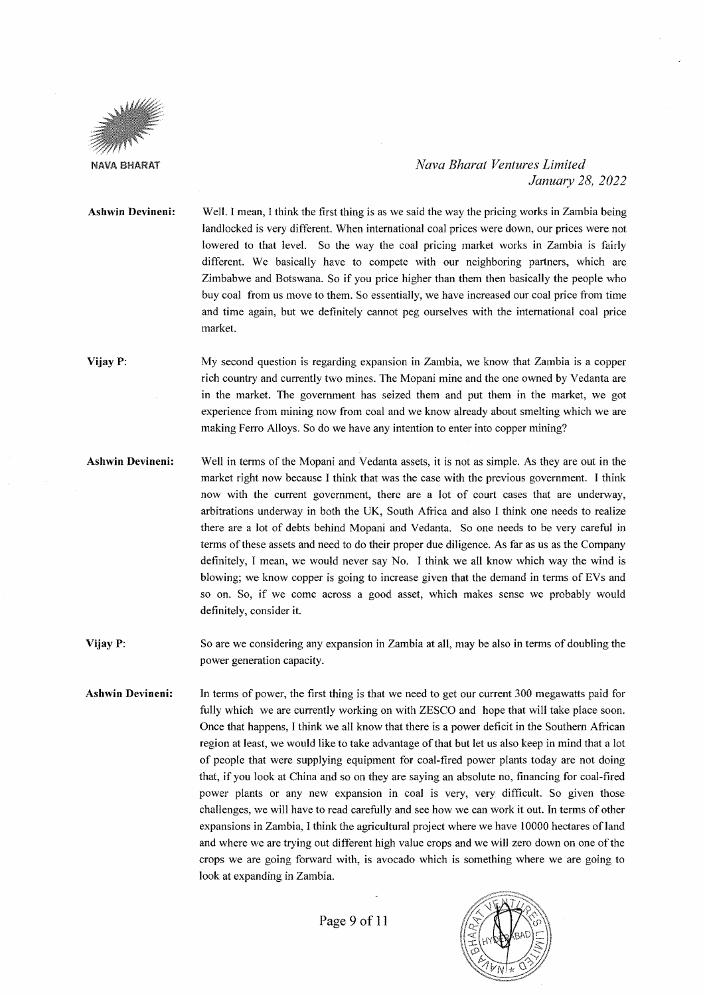

#### *Nava Bharat Ventures Limited January 28, 2022*

**Ashwin Devineni:**  Well. I mean, I think the first thing is as we said the way the pricing works in Zambia being landlocked is very different. When international coal prices were down, our prices were not lowered to that level. So the way the coal pricing market works in Zambia is fairly different. We basically have to compete with our neighboring partners, which are Zimbabwe and Botswana. So if you price higher than them then basically the people who buy coal from us move to them. So essentially, we have increased our coal price from time and time again, but we definitely cannot peg ourselves with the international coal price market.

**Vijay P:**  My second question is regarding expansion in Zambia, we know that Zambia is a copper rich country and currently two mines. The Mopani mine and the one owned by Vedanta are in the market. The government has seized them and put them in the market, we got experience from mining now from coal and we know already about smelting which we are making Ferro Alloys. So do we have any intention to enter into copper mining?

**Ashwin Devineni:**  Well in terms of the Mopani and Vedanta assets, it is not as simple. As they are out in the market right now because I think that was the case with the previous government. I think now with the current government, there are a lot of court cases that are underway, arbitrations underway in both the UK, South Africa and also I think one needs to realize there are a lot of debts behind Mopani and Vedanta. So one needs to be very careful in terms of these assets and need to do their proper due diligence. As far as us as the Company definitely, I mean, we would never say No. I think we all know which way the wind is blowing; we know copper is going to increase given that the demand in terms of EVs and so on. So, if we come across a good asset, which makes sense we probably would definitely, consider it.

**Vijay P:**  So are we considering any expansion in Zambia at all, may be also in terms of doubling the power generation capacity.

**Ashwin Devineni:**  In terms of power, the first thing is that we need to get our current 300 megawatts paid for fully which we are currently working on with ZESCO and hope that will take place soon. Once that happens, I think we all know that there is a power deficit in the Southern African region at least, we would like to take advantage of that but let us also keep in mind that a lot of people that were supplying equipment for coal-fired power plants today are not doing that, if you look at China and so on they are saying an absolute no, financing for coal-fired power plants or any new expansion in coal is very, very difficult. So given those challenges, we will have to read carefully and see how we can work it out. In terms of other expansions in Zambia, I think the agricultural project where we have I 0000 hectares of land and where we are trying out different high value crops and we will zero down on one of the crops we are going forward with, is avocado which is something where we are going to look at expanding in Zambia.

Page 9 of 11

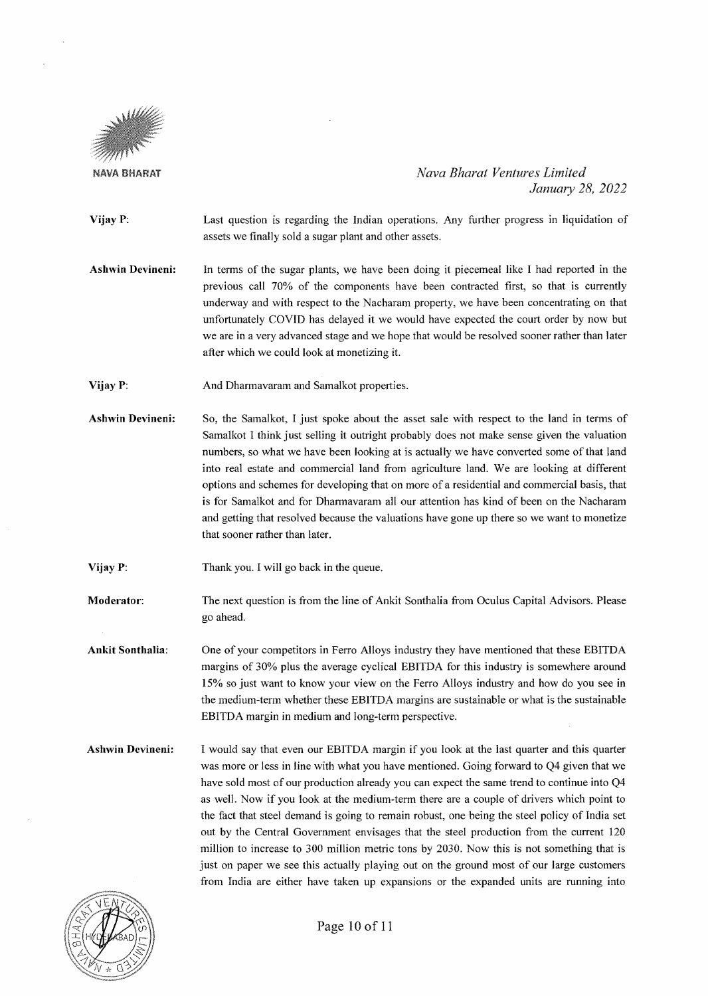

*Nava Bharat Ventures Limited January 28, 2022* 

- **Vijay P:**  Last question is regarding the Indian operations. Any further progress in liquidation of assets we finally sold a sugar plant and other assets.
- **Ashwin Devineni:**  In terms of the sugar plants, we have been doing it piecemeal like I had reported in the previous call 70% of the components have been contracted first, so that is currently underway and with respect to the Nacharam property, we have been concentrating on that unfortunately COVID has delayed it we would have expected the court order by now but we are in a very advanced stage and we hope that would be resolved sooner rather than later after which we could look at monetizing it.
- **Vijay P:**  And Dharmavaram and Samalkot properties.
- **Ashwin Devineni:**  So, the Samalkot, I just spoke about the asset sale with respect to the land in terms of Samalkot I think just selling it outright probably does not make sense given the valuation numbers, so what we have been looking at is actually we have converted some of that land into real estate and commercial land from agriculture land. We are looking at different options and schemes for developing that on more of a residential and commercial basis, that is for Samalkot and for Dharmavaram all our attention has kind of been on the Nacharam and getting that resolved because the valuations have gone up there so we want to monetize that sooner rather than later.
- **Vijay P:**  Thank you. I will go back in the queue.
- **Moderator:**  The next question is from the line of Ankit Sonthalia from Oculus Capital Advisors. Please go ahead.

**Ankit Sonthalia:**  One of your competitors in Ferro Alloys industry they have mentioned that these EBITDA margins of 30% plus the average cyclical EBITDA for this industry is somewhere around 15% so just want to know your view on the Ferro Alloys industry and how do you see in the medium-term whether these EBITDA margins are sustainable or what is the sustainable EBITDA margin in medium and long-term perspective.

**Ashwin Devineni:**  I would say that even our EBITDA margin if you look at the last quarter and this quarter was more or less in line with what you have mentioned. Going forward to Q4 given that we have sold most of our production already you can expect the same trend to continue into Q4 as well. Now if you look at the medium-term there are a couple of drivers which point to the fact that steel demand is going to remain robust, one being the steel policy of India set out by the Central Government envisages that the steel production from the current 120 million to increase to 300 million metric tons by 2030. Now this is not something that is just on paper we see this actually playing out on the ground most of our large customers from India are either have taken up expansions or the expanded units are running into